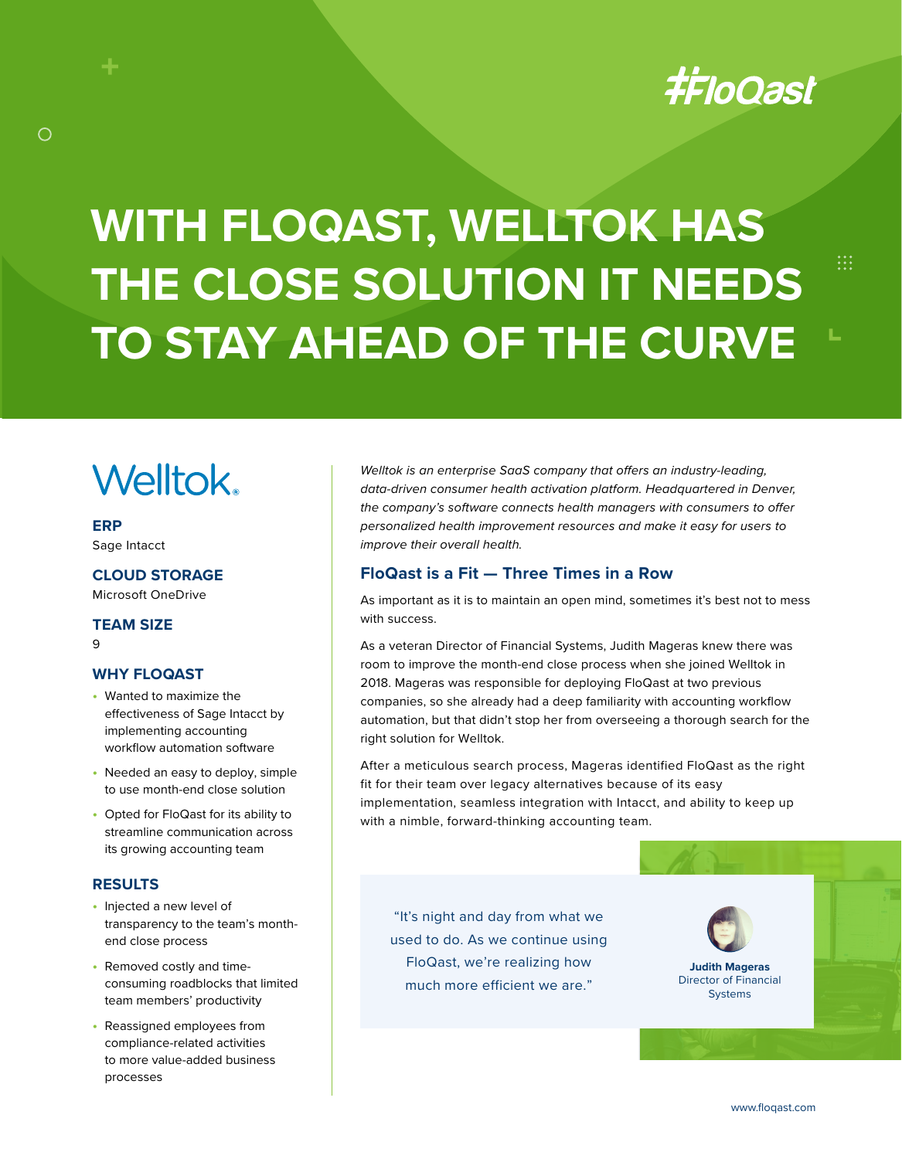# **#FloQast**

 $\dddot{...}$ 

# **WITH FLOQAST, WELLTOK HAS THE CLOSE SOLUTION IT NEEDS TO STAY AHEAD OF THE CURVE**

# **Welltok**

**ERP** Sage Intacct

 $\bigcirc$ 

**CLOUD STORAGE** Microsoft OneDrive

**TEAM SIZE** 9

#### **WHY FLOQAST**

- **•** Wanted to maximize the effectiveness of Sage Intacct by implementing accounting workflow automation software
- **•** Needed an easy to deploy, simple to use month-end close solution
- **•** Opted for FloQast for its ability to streamline communication across its growing accounting team

## **RESULTS**

- **•** Injected a new level of transparency to the team's monthend close process
- **•** Removed costly and timeconsuming roadblocks that limited team members' productivity
- **•** Reassigned employees from compliance-related activities to more value-added business processes

*Welltok is an enterprise SaaS company that offers an industry-leading, data-driven consumer health activation platform. Headquartered in Denver, the company's software connects health managers with consumers to offer personalized health improvement resources and make it easy for users to improve their overall health.*

## **FloQast is a Fit — Three Times in a Row**

As important as it is to maintain an open mind, sometimes it's best not to mess with success.

As a veteran Director of Financial Systems, Judith Mageras knew there was room to improve the month-end close process when she joined Welltok in 2018. Mageras was responsible for deploying FloQast at two previous companies, so she already had a deep familiarity with accounting workflow automation, but that didn't stop her from overseeing a thorough search for the right solution for Welltok.

After a meticulous search process, Mageras identified FloQast as the right fit for their team over legacy alternatives because of its easy implementation, seamless integration with Intacct, and ability to keep up with a nimble, forward-thinking accounting team.

"It's night and day from what we used to do. As we continue using FloQast, we're realizing how much more efficient we are."



**Judith Mageras** Director of Financial **Systems** 

www.floqast.com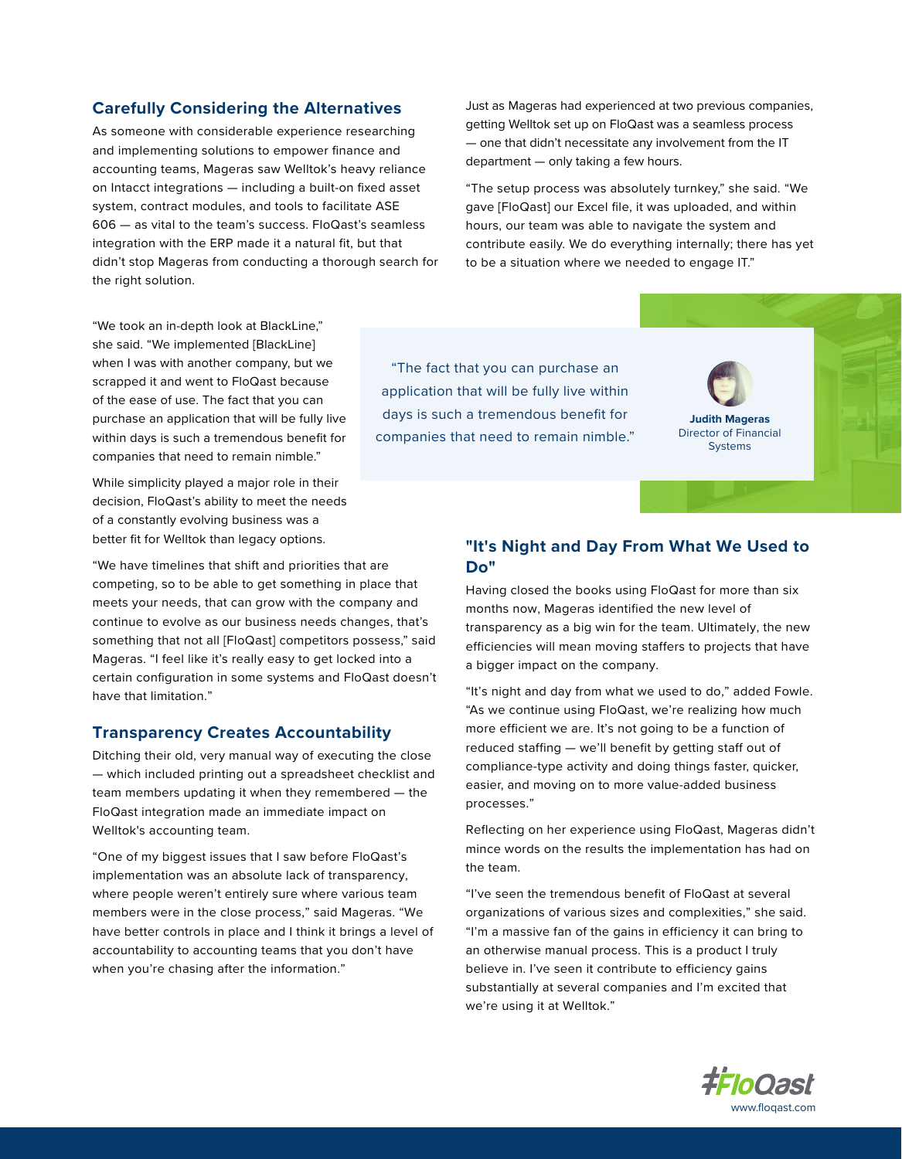#### **Carefully Considering the Alternatives**

As someone with considerable experience researching and implementing solutions to empower finance and accounting teams, Mageras saw Welltok's heavy reliance on Intacct integrations — including a built-on fixed asset system, contract modules, and tools to facilitate ASE 606 — as vital to the team's success. FloQast's seamless integration with the ERP made it a natural fit, but that didn't stop Mageras from conducting a thorough search for the right solution.

Just as Mageras had experienced at two previous companies, getting Welltok set up on FloQast was a seamless process — one that didn't necessitate any involvement from the IT department — only taking a few hours.

"The setup process was absolutely turnkey," she said. "We gave [FloQast] our Excel file, it was uploaded, and within hours, our team was able to navigate the system and contribute easily. We do everything internally; there has yet to be a situation where we needed to engage IT."

"We took an in-depth look at BlackLine," she said. "We implemented [BlackLine] when I was with another company, but we scrapped it and went to FloQast because of the ease of use. The fact that you can purchase an application that will be fully live within days is such a tremendous benefit for companies that need to remain nimble."

While simplicity played a major role in their decision, FloQast's ability to meet the needs of a constantly evolving business was a better fit for Welltok than legacy options.

"We have timelines that shift and priorities that are competing, so to be able to get something in place that meets your needs, that can grow with the company and continue to evolve as our business needs changes, that's something that not all [FloQast] competitors possess," said Mageras. "I feel like it's really easy to get locked into a certain configuration in some systems and FloQast doesn't have that limitation."

#### **Transparency Creates Accountability**

Ditching their old, very manual way of executing the close — which included printing out a spreadsheet checklist and team members updating it when they remembered — the FloQast integration made an immediate impact on Welltok's accounting team.

"One of my biggest issues that I saw before FloQast's implementation was an absolute lack of transparency, where people weren't entirely sure where various team members were in the close process," said Mageras. "We have better controls in place and I think it brings a level of accountability to accounting teams that you don't have when you're chasing after the information."

"The fact that you can purchase an application that will be fully live within days is such a tremendous benefit for companies that need to remain nimble."



## **"It's Night and Day From What We Used to Do"**

Having closed the books using FloQast for more than six months now, Mageras identified the new level of transparency as a big win for the team. Ultimately, the new efficiencies will mean moving staffers to projects that have a bigger impact on the company.

"It's night and day from what we used to do," added Fowle. "As we continue using FloQast, we're realizing how much more efficient we are. It's not going to be a function of reduced staffing — we'll benefit by getting staff out of compliance-type activity and doing things faster, quicker, easier, and moving on to more value-added business processes."

Reflecting on her experience using FloQast, Mageras didn't mince words on the results the implementation has had on the team.

"I've seen the tremendous benefit of FloQast at several organizations of various sizes and complexities," she said. "I'm a massive fan of the gains in efficiency it can bring to an otherwise manual process. This is a product I truly believe in. I've seen it contribute to efficiency gains substantially at several companies and I'm excited that we're using it at Welltok."